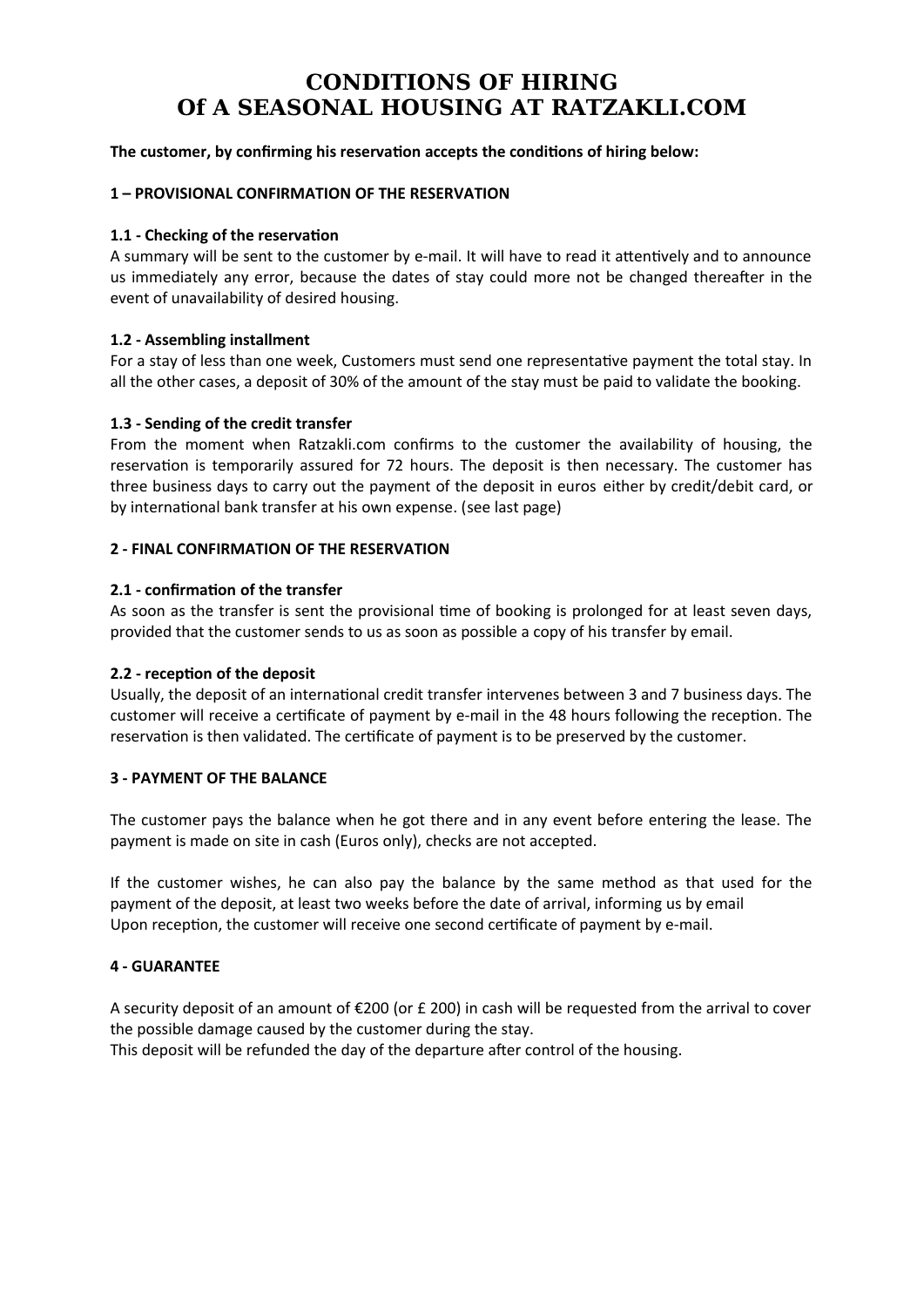# **CONDITIONS OF HIRING Of A SEASONAL HOUSING AT RATZAKLI.COM**

# **The customer, by confirming his reservation accepts the conditions of hiring below:**

#### **1 – PROVISIONAL CONFIRMATION OF THE RESERVATION**

#### **1.1 - Checking of the reservation**

A summary will be sent to the customer by e-mail. It will have to read it attentively and to announce us immediately any error, because the dates of stay could more not be changed thereafter in the event of unavailability of desired housing.

#### **1.2 - Assembling installment**

For a stay of less than one week, Customers must send one representative payment the total stay. In all the other cases, a deposit of 30% of the amount of the stay must be paid to validate the booking.

#### **1.3 - Sending of the credit transfer**

From the moment when Ratzakli.com confirms to the customer the availability of housing, the reservation is temporarily assured for 72 hours. The deposit is then necessary. The customer has three business days to carry out the payment of the deposit in euros either by credit/debit card, or by international bank transfer at his own expense. (see last page)

#### **2 - FINAL CONFIRMATION OF THE RESERVATION**

#### **2.1 - confirmation of the transfer**

As soon as the transfer is sent the provisional time of booking is prolonged for at least seven days, provided that the customer sends to us as soon as possible a copy of his transfer by email.

# **2.2 - reception of the deposit**

Usually, the deposit of an international credit transfer intervenes between 3 and 7 business days. The customer will receive a certificate of payment by e-mail in the 48 hours following the reception. The reservation is then validated. The certificate of payment is to be preserved by the customer.

#### **3 - PAYMENT OF THE BALANCE**

The customer pays the balance when he got there and in any event before entering the lease. The payment is made on site in cash (Euros only), checks are not accepted.

If the customer wishes, he can also pay the balance by the same method as that used for the payment of the deposit, at least two weeks before the date of arrival, informing us by email Upon reception, the customer will receive one second certificate of payment by e-mail.

# **4 - GUARANTEE**

A security deposit of an amount of €200 (or £ 200) in cash will be requested from the arrival to cover the possible damage caused by the customer during the stay. This deposit will be refunded the day of the departure after control of the housing.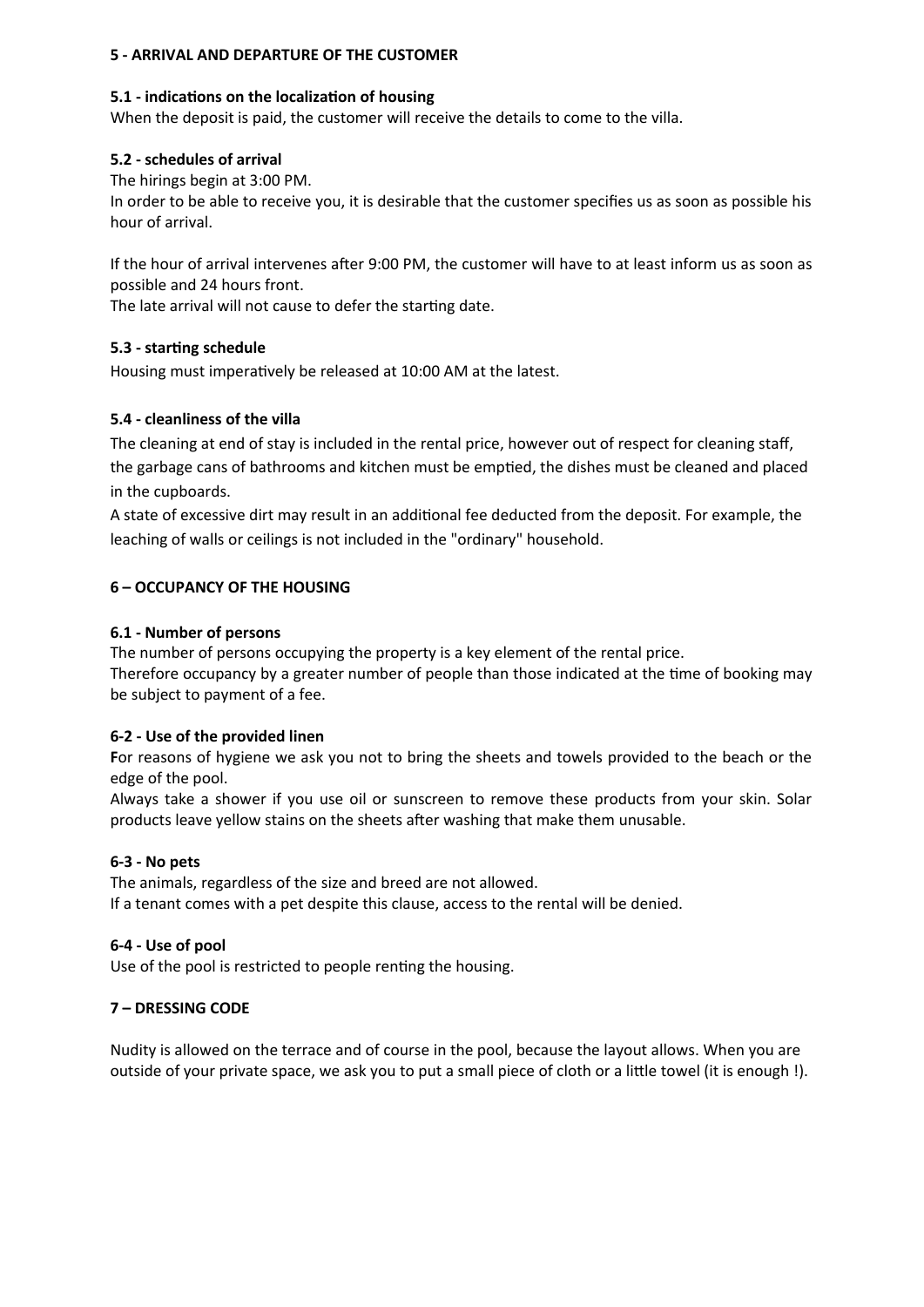# **5 - ARRIVAL AND DEPARTURE OF THE CUSTOMER**

#### **5.1 - indications on the localization of housing**

When the deposit is paid, the customer will receive the details to come to the villa.

#### **5.2 - schedules of arrival**

The hirings begin at 3:00 PM.

In order to be able to receive you, it is desirable that the customer specifies us as soon as possible his hour of arrival.

If the hour of arrival intervenes after 9:00 PM, the customer will have to at least inform us as soon as possible and 24 hours front.

The late arrival will not cause to defer the starting date.

# **5.3 - starting schedule**

Housing must imperatively be released at 10:00 AM at the latest.

# **5.4 - cleanliness of the villa**

The cleaning at end of stay is included in the rental price, however out of respect for cleaning staff, the garbage cans of bathrooms and kitchen must be emptied, the dishes must be cleaned and placed in the cupboards.

A state of excessive dirt may result in an additional fee deducted from the deposit. For example, the leaching of walls or ceilings is not included in the "ordinary" household.

# **6 – OCCUPANCY OF THE HOUSING**

#### **6.1 - Number of persons**

The number of persons occupying the property is a key element of the rental price.

Therefore occupancy by a greater number of people than those indicated at the time of booking may be subject to payment of a fee.

# **6-2 - Use of the provided linen**

**F**or reasons of hygiene we ask you not to bring the sheets and towels provided to the beach or the edge of the pool.

Always take a shower if you use oil or sunscreen to remove these products from your skin. Solar products leave yellow stains on the sheets after washing that make them unusable.

# **6-3 - No pets**

The animals, regardless of the size and breed are not allowed. If a tenant comes with a pet despite this clause, access to the rental will be denied.

#### **6-4 - Use of pool**

Use of the pool is restricted to people renting the housing.

# **7 – DRESSING CODE**

Nudity is allowed on the terrace and of course in the pool, because the layout allows. When you are outside of your private space, we ask you to put a small piece of cloth or a little towel (it is enough !).